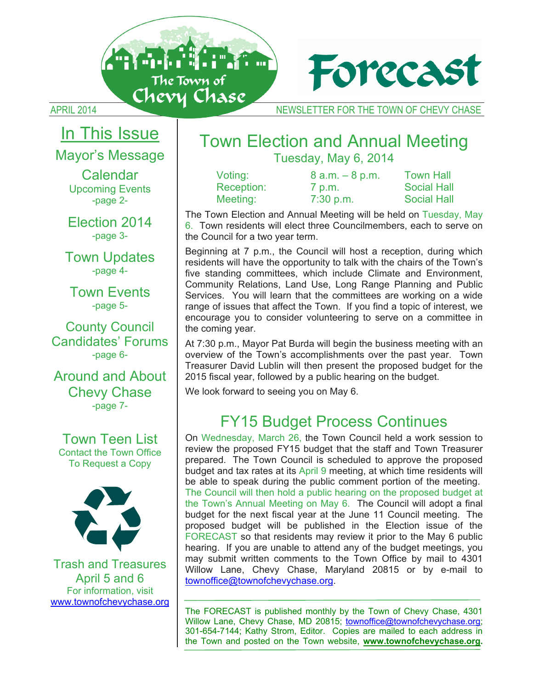



APRIL 2014 NEWSLETTER FOR THE TOWN OF CHEVY CHASE

# In This Issue

Mayor's Message

Calendar Upcoming Events -page 2-

Election 2014 -page 3-

Town Updates -page 4-

Town Events -page 5-

County Council Candidates' Forums -page 6-

Around and About Chevy Chase -page 7-

Town Teen List Contact the Town Office To Request a Copy



Trash and Treasures April 5 and 6 For information, visit www.townofchevychase.org

# Town Election and Annual Meeting Tuesday, May 6, 2014

| Voting:    | $8$ a.m. $-8$ p.m. | <b>Town Hall</b>   |
|------------|--------------------|--------------------|
| Reception: | 7 p.m.             | <b>Social Hall</b> |
| Meeting:   | $7:30$ p.m.        | <b>Social Hall</b> |

The Town Election and Annual Meeting will be held on Tuesday, May 6. Town residents will elect three Councilmembers, each to serve on the Council for a two year term.

Beginning at 7 p.m., the Council will host a reception, during which residents will have the opportunity to talk with the chairs of the Town's five standing committees, which include Climate and Environment, Community Relations, Land Use, Long Range Planning and Public Services. You will learn that the committees are working on a wide range of issues that affect the Town. If you find a topic of interest, we encourage you to consider volunteering to serve on a committee in the coming year.

At 7:30 p.m., Mayor Pat Burda will begin the business meeting with an overview of the Town's accomplishments over the past year. Town Treasurer David Lublin will then present the proposed budget for the 2015 fiscal year, followed by a public hearing on the budget.

We look forward to seeing you on May 6.

# FY15 Budget Process Continues

On Wednesday, March 26, the Town Council held a work session to review the proposed FY15 budget that the staff and Town Treasurer prepared. The Town Council is scheduled to approve the proposed budget and tax rates at its April 9 meeting, at which time residents will be able to speak during the public comment portion of the meeting. The Council will then hold a public hearing on the proposed budget at the Town's Annual Meeting on May 6. The Council will adopt a final budget for the next fiscal year at the June 11 Council meeting. The proposed budget will be published in the Election issue of the FORECAST so that residents may review it prior to the May 6 public hearing. If you are unable to attend any of the budget meetings, you may submit written comments to the Town Office by mail to 4301 Willow Lane, Chevy Chase, Maryland 20815 or by e-mail to townoffice@townofchevychase.org.

The FORECAST is published monthly by the Town of Chevy Chase, 4301 Willow Lane, Chevy Chase, MD 20815; townoffice@townofchevychase.org; 301-654-7144; Kathy Strom, Editor. Copies are mailed to each address in the Town and posted on the Town website, **www.townofchevychase.org.**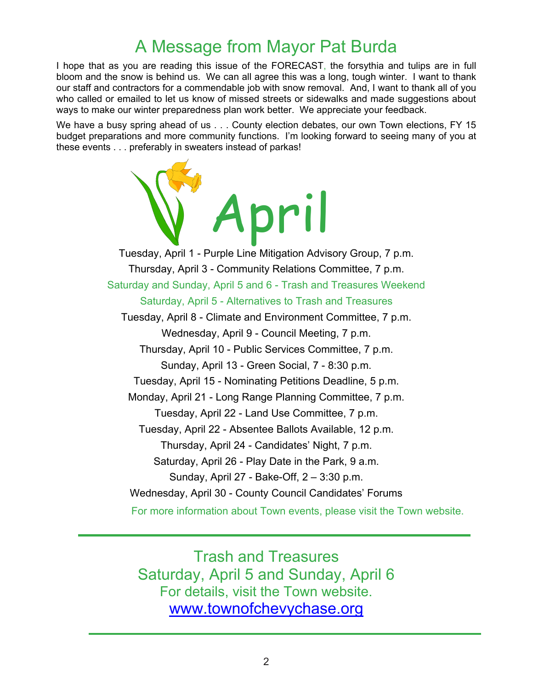# A Message from Mayor Pat Burda

I hope that as you are reading this issue of the FORECAST, the forsythia and tulips are in full bloom and the snow is behind us. We can all agree this was a long, tough winter. I want to thank our staff and contractors for a commendable job with snow removal. And, I want to thank all of you who called or emailed to let us know of missed streets or sidewalks and made suggestions about ways to make our winter preparedness plan work better. We appreciate your feedback.

We have a busy spring ahead of us . . . County election debates, our own Town elections, FY 15 budget preparations and more community functions. I'm looking forward to seeing many of you at these events . . . preferably in sweaters instead of parkas!

> pril Tuesday, April 1 - Purple Line Mitigation Advisory Group, 7 p.m. Thursday, April 3 - Community Relations Committee, 7 p.m. Saturday and Sunday, April 5 and 6 - Trash and Treasures Weekend Saturday, April 5 - Alternatives to Trash and Treasures Tuesday, April 8 - Climate and Environment Committee, 7 p.m. Wednesday, April 9 - Council Meeting, 7 p.m. Thursday, April 10 - Public Services Committee, 7 p.m. Sunday, April 13 - Green Social, 7 - 8:30 p.m. Tuesday, April 15 - Nominating Petitions Deadline, 5 p.m. Monday, April 21 - Long Range Planning Committee, 7 p.m. Tuesday, April 22 - Land Use Committee, 7 p.m. Tuesday, April 22 - Absentee Ballots Available, 12 p.m. Thursday, April 24 - Candidates' Night, 7 p.m. Saturday, April 26 - Play Date in the Park, 9 a.m. Sunday, April 27 - Bake-Off, 2 – 3:30 p.m. Wednesday, April 30 - County Council Candidates' Forums For more information about Town events, please visit the Town website.

Trash and Treasures Saturday, April 5 and Sunday, April 6 For details, visit the Town website. www.townofchevychase.org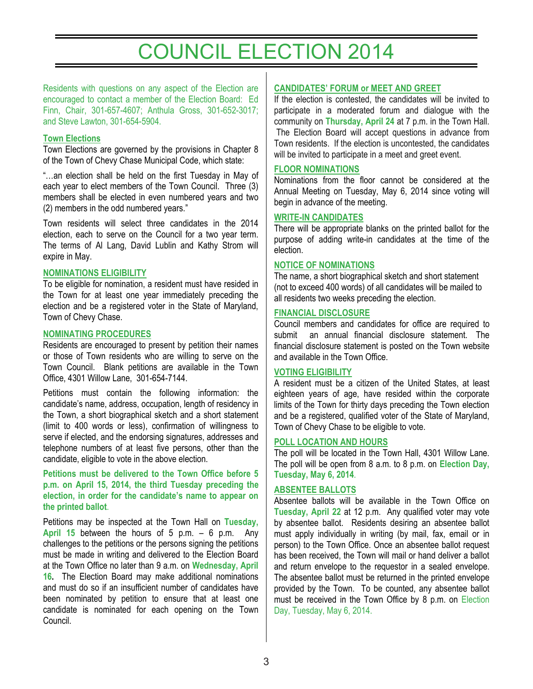# COUNCIL ELECTION 2014

Residents with questions on any aspect of the Election are encouraged to contact a member of the Election Board: Ed Finn, Chair, 301-657-4607; Anthula Gross, 301-652-3017; and Steve Lawton, 301-654-5904.

#### **Town Elections**

Town Elections are governed by the provisions in Chapter 8 of the Town of Chevy Chase Municipal Code, which state:

"…an election shall be held on the first Tuesday in May of each year to elect members of the Town Council. Three (3) members shall be elected in even numbered years and two (2) members in the odd numbered years."

Town residents will select three candidates in the 2014 election, each to serve on the Council for a two year term. The terms of Al Lang, David Lublin and Kathy Strom will expire in May.

# **NOMINATIONS ELIGIBILITY**

To be eligible for nomination, a resident must have resided in the Town for at least one year immediately preceding the election and be a registered voter in the State of Maryland, Town of Chevy Chase.

# **NOMINATING PROCEDURES**

Residents are encouraged to present by petition their names or those of Town residents who are willing to serve on the Town Council. Blank petitions are available in the Town Office, 4301 Willow Lane, 301-654-7144.

Petitions must contain the following information: the candidate's name, address, occupation, length of residency in the Town, a short biographical sketch and a short statement (limit to 400 words or less), confirmation of willingness to serve if elected, and the endorsing signatures, addresses and telephone numbers of at least five persons, other than the candidate, eligible to vote in the above election.

# **Petitions must be delivered to the Town Office before 5 p.m. on April 15, 2014, the third Tuesday preceding the election, in order for the candidate's name to appear on the printed ballot**.

Petitions may be inspected at the Town Hall on **Tuesday, April 15** between the hours of 5 p.m. – 6 p.m. Any challenges to the petitions or the persons signing the petitions must be made in writing and delivered to the Election Board at the Town Office no later than 9 a.m. on **Wednesday, April 16.** The Election Board may make additional nominations and must do so if an insufficient number of candidates have been nominated by petition to ensure that at least one candidate is nominated for each opening on the Town Council.

# **CANDIDATES' FORUM or MEET AND GREET**

If the election is contested, the candidates will be invited to participate in a moderated forum and dialogue with the community on **Thursday, April 24** at 7 p.m. in the Town Hall. The Election Board will accept questions in advance from Town residents. If the election is uncontested, the candidates will be invited to participate in a meet and greet event.

#### **FLOOR NOMINATIONS**

Nominations from the floor cannot be considered at the Annual Meeting on Tuesday, May 6, 2014 since voting will begin in advance of the meeting.

#### **WRITE-IN CANDIDATES**

There will be appropriate blanks on the printed ballot for the purpose of adding write-in candidates at the time of the election.

#### **NOTICE OF NOMINATIONS**

The name, a short biographical sketch and short statement (not to exceed 400 words) of all candidates will be mailed to all residents two weeks preceding the election.

#### **FINANCIAL DISCLOSURE**

Council members and candidates for office are required to submit an annual financial disclosure statement. The financial disclosure statement is posted on the Town website and available in the Town Office.

#### **VOTING ELIGIBILITY**

A resident must be a citizen of the United States, at least eighteen years of age, have resided within the corporate limits of the Town for thirty days preceding the Town election and be a registered, qualified voter of the State of Maryland, Town of Chevy Chase to be eligible to vote.

#### **POLL LOCATION AND HOURS**

The poll will be located in the Town Hall, 4301 Willow Lane. The poll will be open from 8 a.m. to 8 p.m. on **Election Day, Tuesday, May 6, 2014**.

#### **ABSENTEE BALLOTS**

Absentee ballots will be available in the Town Office on **Tuesday, April 22** at 12 p.m. Any qualified voter may vote by absentee ballot. Residents desiring an absentee ballot must apply individually in writing (by mail, fax, email or in person) to the Town Office. Once an absentee ballot request has been received, the Town will mail or hand deliver a ballot and return envelope to the requestor in a sealed envelope. The absentee ballot must be returned in the printed envelope provided by the Town. To be counted, any absentee ballot must be received in the Town Office by 8 p.m. on Election Day, Tuesday, May 6, 2014.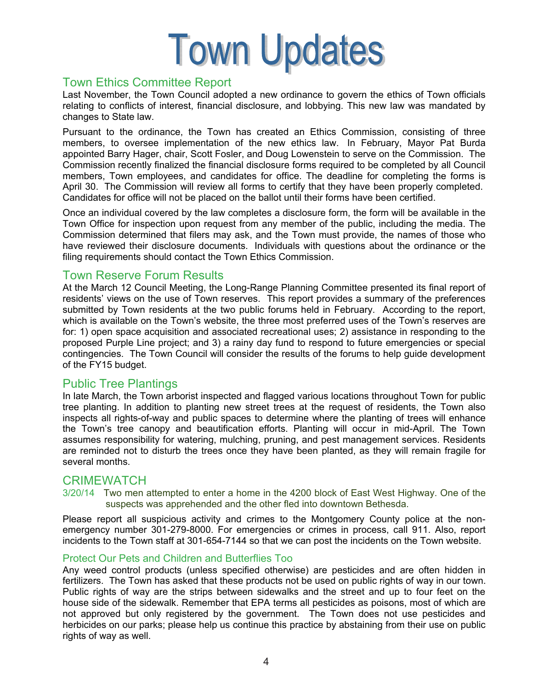

# Town Ethics Committee Report

Last November, the Town Council adopted a new ordinance to govern the ethics of Town officials relating to conflicts of interest, financial disclosure, and lobbying. This new law was mandated by changes to State law.

Pursuant to the ordinance, the Town has created an Ethics Commission, consisting of three members, to oversee implementation of the new ethics law. In February, Mayor Pat Burda appointed Barry Hager, chair, Scott Fosler, and Doug Lowenstein to serve on the Commission. The Commission recently finalized the financial disclosure forms required to be completed by all Council members, Town employees, and candidates for office. The deadline for completing the forms is April 30. The Commission will review all forms to certify that they have been properly completed. Candidates for office will not be placed on the ballot until their forms have been certified.

Once an individual covered by the law completes a disclosure form, the form will be available in the Town Office for inspection upon request from any member of the public, including the media. The Commission determined that filers may ask, and the Town must provide, the names of those who have reviewed their disclosure documents. Individuals with questions about the ordinance or the filing requirements should contact the Town Ethics Commission.

# Town Reserve Forum Results

At the March 12 Council Meeting, the Long-Range Planning Committee presented its final report of residents' views on the use of Town reserves. This report provides a summary of the preferences submitted by Town residents at the two public forums held in February. According to the report, which is available on the Town's website, the three most preferred uses of the Town's reserves are for: 1) open space acquisition and associated recreational uses; 2) assistance in responding to the proposed Purple Line project; and 3) a rainy day fund to respond to future emergencies or special contingencies. The Town Council will consider the results of the forums to help guide development of the FY15 budget.

# Public Tree Plantings

In late March, the Town arborist inspected and flagged various locations throughout Town for public tree planting. In addition to planting new street trees at the request of residents, the Town also inspects all rights-of-way and public spaces to determine where the planting of trees will enhance the Town's tree canopy and beautification efforts. Planting will occur in mid-April. The Town assumes responsibility for watering, mulching, pruning, and pest management services. Residents are reminded not to disturb the trees once they have been planted, as they will remain fragile for several months.

# **CRIMEWATCH**

3/20/14 Two men attempted to enter a home in the 4200 block of East West Highway. One of the suspects was apprehended and the other fled into downtown Bethesda.

Please report all suspicious activity and crimes to the Montgomery County police at the nonemergency number 301-279-8000. For emergencies or crimes in process, call 911. Also, report incidents to the Town staff at 301-654-7144 so that we can post the incidents on the Town website.

# Protect Our Pets and Children and Butterflies Too

Any weed control products (unless specified otherwise) are pesticides and are often hidden in fertilizers. The Town has asked that these products not be used on public rights of way in our town. Public rights of way are the strips between sidewalks and the street and up to four feet on the house side of the sidewalk. Remember that EPA terms all pesticides as poisons, most of which are not approved but only registered by the government. The Town does not use pesticides and herbicides on our parks; please help us continue this practice by abstaining from their use on public rights of way as well.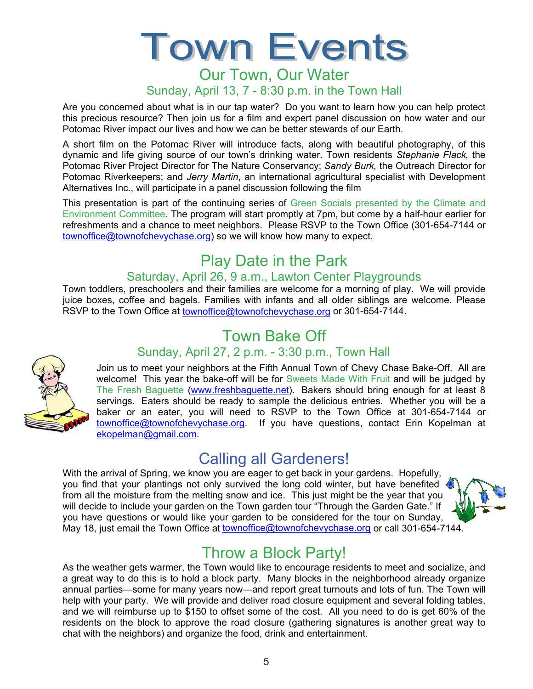# I OWN EVEI  $\overline{\phantom{a}}$  short film on the Potomac River will introduce facts, along with beautiful photography, of this control  $\overline{\phantom{a}}$  defined by  $\overline{\phantom{a}}$ dynamic and life giving source of our town's drinking water. Town residents *Stephanie Flack,* the Potomac River Project Director for The Nature Conservancy; *Sandy Burk,* the Outreach Director for Potomac Riverkeepers; and *Jerry Martin*, an international agricultural specialist with Development

# Sunday, April 13, 7 - 8:30 p.m. in the Town Hall **Alternatives Inc., which participate in a participate in a participate in a participate in a participate in a**

Are you concerned about what is in our tap water? Do you want to learn how you can help protect refreshments about that is in our tap mater. Be you want to identified you can hop protect this precious resource? Then join us for a film and expert panel discussion on how water and our the presidence received in their jeart defier a tail and expert parter diseases. The matter and potomac River impact our lives and how we can be better stewards of our Earth.

A short film on the Potomac River will introduce facts, along with beautiful photography, of this A short film on the Potomac River will introduce facts, along with beautiful photography, of this dynamic and life giving source of our town's drinking water. Town residents *Stephanie Flack*, the Potomac River Project Dir Potomac River Project Director for The Nature Conservancy; Sandy Burk, the Outreach Director for Potomac Riverkeepers; and *Jerry Martin*, an international agricultural specialist with Development Alternatives Inc., will participate in a panel discussion following the film

reconducted mon, min participate in a partici alcodection folloting the limit.<br>This presentation is part of the continuing series of Green Socials presented by the Climate and Environment Committee. The program will start promptly at 7pm, but come by a half-hour earlier for refreshments and a chance to meet neighbors. Please RSVP to the Town Office (301-654-7144 or townoffice@townofchevychase.org) so we will know how many to expect.

#### Play Date in the Park at the Town of Chevy Chevy Chevy Chase Bake-Off. All are the Chevy Chevy Chase Bake-Off. All are the Chevy Chevy Chevy Chevy Chevy Chevy Chevy Chevy Chevy Chevy Chevy Chevy Chevy Chevy Chevy Chevy Che welcome this year the bake-off will be for Sweets Made With Fruit and will be judged by the sweets Made With Fruit and will be judged by the sweets Made With Fruit and will be judged by the sweets Made With Fruit and will dighthaw Date in the Park. Town residents of our town residents  $S$

#### Saturday, April 26, 9 a.m., Lawton Center Playgrounds Potomac River Project Director for The Nature Conservancy; *Sandy Burk,* the Outreach Director for Potomac Riverkeepers; and *Jerry Martin*, an international agricultural specialist with Development

Town toddlers, preschoolers and their families are welcome for a morning of play. We will provide juice boxes, coffee and bagels. Families with infants and all older siblings are welcome. Please RSVP to the Town Office at townoffice@townofchevychase.org or 301-654-7144. Alternatives Inc., which we come to a morning of play. We will provide<br>The Femilian with infects and all although lines are welcome. Places  $\mathbb{E} \left( \mathbf{r} \right)$  at 7pm, but comptains at 7pm, but come by a half-hour earlier for a half-hour earlier for a half-hour earlier for a half-hour earlier for a half-hour earlier for a half-hour earlier for a half-hour ea

# Town Bake Off **For a chance to meet neighbors**.

# rown Bake On<br>Sunday, April 27, 2 p.m. - 3:30 p.m., Town Hall

Join us to meet your neighbors at the Fifth Annual Town of Chevy Chase Bake-Off. All are John as to meet your heighbors at the Filth Annual Town or Chevy Chase Bake-On. Air are<br>welcome! This year the bake-off will be for Sweets Made With Fruit and will be judged by welcome: This year the bake-off will be for sweets made with Fruit and will be judged by<br>The Fresh Baguette (www.freshbaguette.net). Bakers should bring enough for at least 8 The Fresh Bagdette (www.fleshbagdette.flet). Bakers should bring enough for at least of the Tresh Bagdette (www.fleshbagdette.flet). Bakers should be ready to sample the delicious entries. Whether you will be a servings. Eaters should be ready to sample the deficious entries. Whether you will be a<br>baker or an eater, you will need to RSVP to the Town Office at 301-654-7144 or baker or an eater, you will need to KSVP to the Town Office at S01-654-7144 or<br>townoffice@townofchevychase.org. If you have questions, contact Erin Kopelman at ekopelman@gmail.com. I be for Sweets Made With Fruit and will be judged by<br>watter at a Palays about his a second facet least 2  $T_{\text{V}}$  of the state formulation of players and the formulation  $T_{\text{V}}$  and  $T_{\text{V}}$  are welcome for a morning of players  $T_{\text{V}}$  and  $T_{\text{V}}$  are welcome for  $T_{\text{V}}$  and  $T_{\text{V}}$  and  $T_{\text{V}}$  are welcome for  $\frac{1}{2}$  you will need to RSVP to the Town Office at 301-654-7144. Or

# **Calling all Gardeners! Calling and Sunday, April 27, 20, 30 p.m. - 3:30 p.m. - 3:30 p.m. - 3:30 p.m.**

With the arrival of Spring, we know you are eager to get back in your gardens. Hopefully,  $\frac{1}{\sqrt{2}}$ you find that your plantings not only survived the long cold winter, but have benefited  $\frac{1}{2}$  from all the moisture from the melting snow and ice. This just might be the year that you will decide to include your garden on the Town garden tour "Through the Garden Gate." If  $\sqrt{2}$ you have questions or would like your garden to be considered for the tour on Sunday, you have questions of would like your garden to be considered for the tour off Sunday,<br>May 18, just email the Town Office at townoffice@townofchevychase.org or call 301-654-7144. resident on the Town garden tour "Through the Garden Gate." If  $\begin{array}{c} \begin{array}{c} \begin{array}{c} \end{array} \\ \end{array}$ 



# Throw a Block Party!

As the weather gets warmer, the Town would like to encourage residents to meet and socialize, and a great way to do this is to hold a block party. Many blocks in the neighborhood already organize annual parties—some for many years now—and report great turnouts and lots of fun. The Town will help with your party. We will provide and deliver road closure equipment and several folding tables, and we will reimburse up to \$150 to offset some of the cost. All you need to do is get 60% of the residents on the block to approve the road closure (gathering signatures is another great way to chat with the neighbors) and organize the food, drink and entertainment.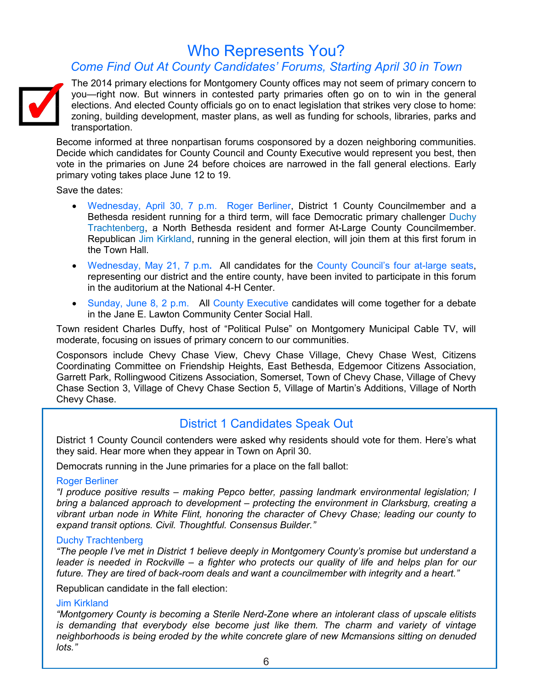# Who Represents You?

# *Come Find Out At County Candidates' Forums, Starting April 30 in Town*



The 2014 primary elections for Montgomery County offices may not seem of primary concern to you—right now. But winners in contested party primaries often go on to win in the general elections. And elected County officials go on to enact legislation that strikes very close to home: zoning, building development, master plans, as well as funding for schools, libraries, parks and transportation.

Become informed at three nonpartisan forums cosponsored by a dozen neighboring communities. Decide which candidates for County Council and County Executive would represent you best, then vote in the primaries on June 24 before choices are narrowed in the fall general elections. Early primary voting takes place June 12 to 19.

Save the dates:

- Wednesday, April 30, 7 p.m. Roger Berliner, District 1 County Councilmember and a Bethesda resident running for a third term, will face Democratic primary challenger Duchy Trachtenberg, a North Bethesda resident and former At-Large County Councilmember. Republican Jim Kirkland, running in the general election, will join them at this first forum in the Town Hall.
- Wednesday, May 21, 7 p.m**.** All candidates for the County Council's four at-large seats, representing our district and the entire county, have been invited to participate in this forum in the auditorium at the National 4-H Center.
- Sunday, June 8, 2 p.m. All County Executive candidates will come together for a debate in the Jane E. Lawton Community Center Social Hall.

Town resident Charles Duffy, host of "Political Pulse" on Montgomery Municipal Cable TV, will moderate, focusing on issues of primary concern to our communities.

Cosponsors include Chevy Chase View, Chevy Chase Village, Chevy Chase West, Citizens Coordinating Committee on Friendship Heights, East Bethesda, Edgemoor Citizens Association, Garrett Park, Rollingwood Citizens Association, Somerset, Town of Chevy Chase, Village of Chevy Chase Section 3, Village of Chevy Chase Section 5, Village of Martin's Additions, Village of North Chevy Chase.

# District 1 Candidates Speak Out

District 1 County Council contenders were asked why residents should vote for them. Here's what they said. Hear more when they appear in Town on April 30.

Democrats running in the June primaries for a place on the fall ballot:

#### Roger Berliner

*"I produce positive results – making Pepco better, passing landmark environmental legislation; I bring a balanced approach to development – protecting the environment in Clarksburg, creating a vibrant urban node in White Flint, honoring the character of Chevy Chase; leading our county to expand transit options. Civil. Thoughtful. Consensus Builder."*

## Duchy Trachtenberg

*"The people I've met in District 1 believe deeply in Montgomery County's promise but understand a leader is needed in Rockville – a fighter who protects our quality of life and helps plan for our future. They are tired of back-room deals and want a councilmember with integrity and a heart."*

Republican candidate in the fall election:

#### Jim Kirkland

*"Montgomery County is becoming a Sterile Nerd-Zone where an intolerant class of upscale elitists is demanding that everybody else become just like them. The charm and variety of vintage neighborhoods is being eroded by the white concrete glare of new Mcmansions sitting on denuded lots."*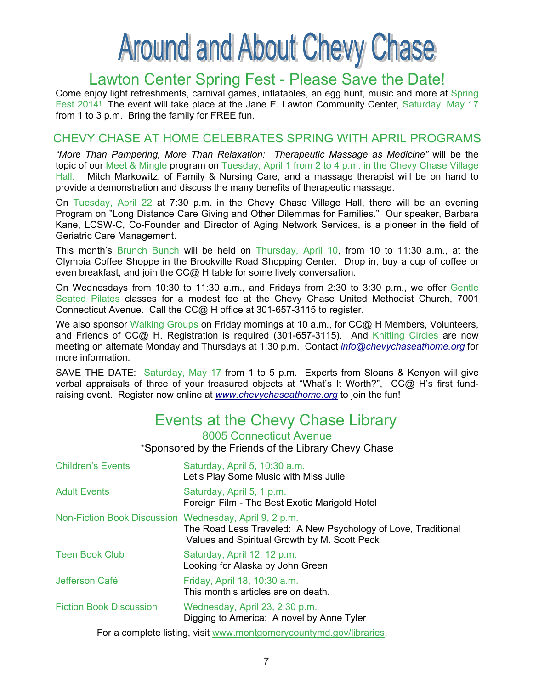# **Around and About Chevy Chase**

# Lawton Center Spring Fest - Please Save the Date!

Come enjoy light refreshments, carnival games, inflatables, an egg hunt, music and more at Spring Fest 2014! The event will take place at the Jane E. Lawton Community Center, Saturday, May 17 from 1 to 3 p.m. Bring the family for FREE fun.

# CHEVY CHASE AT HOME CELEBRATES SPRING WITH APRIL PROGRAMS

*"More Than Pampering, More Than Relaxation: Therapeutic Massage as Medicine"* will be the topic of our Meet & Mingle program on Tuesday, April 1 from 2 to 4 p.m. in the Chevy Chase Village Hall. Mitch Markowitz, of Family & Nursing Care, and a massage therapist will be on hand to provide a demonstration and discuss the many benefits of therapeutic massage.

On Tuesday, April 22 at 7:30 p.m. in the Chevy Chase Village Hall, there will be an evening Program on "Long Distance Care Giving and Other Dilemmas for Families." Our speaker, Barbara Kane, LCSW-C, Co-Founder and Director of Aging Network Services, is a pioneer in the field of Geriatric Care Management.

This month's Brunch Bunch will be held on Thursday, April 10, from 10 to 11:30 a.m., at the Olympia Coffee Shoppe in the Brookville Road Shopping Center. Drop in, buy a cup of coffee or even breakfast, and join the CC@ H table for some lively conversation.

On Wednesdays from 10:30 to 11:30 a.m., and Fridays from 2:30 to 3:30 p.m., we offer Gentle Seated Pilates classes for a modest fee at the Chevy Chase United Methodist Church, 7001 Connecticut Avenue. Call the CC@ H office at 301-657-3115 to register.

We also sponsor Walking Groups on Friday mornings at 10 a.m., for CC@ H Members, Volunteers, and Friends of CC@ H. Registration is required (301-657-3115). And Knitting Circles are now meeting on alternate Monday and Thursdays at 1:30 p.m. Contact *info@chevychaseathome.org* for more information.

SAVE THE DATE: Saturday, May 17 from 1 to 5 p.m. Experts from Sloans & Kenyon will give verbal appraisals of three of your treasured objects at "What's It Worth?", CC@ H's first fundraising event. Register now online at *www.chevychaseathome.org* to join the fun!

# Events at the Chevy Chase Library

8005 Connecticut Avenue

\*Sponsored by the Friends of the Library Chevy Chase

| <b>Children's Events</b>                               | Saturday, April 5, 10:30 a.m.<br>Let's Play Some Music with Miss Julie                                        |
|--------------------------------------------------------|---------------------------------------------------------------------------------------------------------------|
| <b>Adult Events</b>                                    | Saturday, April 5, 1 p.m.<br>Foreign Film - The Best Exotic Marigold Hotel                                    |
| Non-Fiction Book Discussion Wednesday, April 9, 2 p.m. | The Road Less Traveled: A New Psychology of Love, Traditional<br>Values and Spiritual Growth by M. Scott Peck |
| <b>Teen Book Club</b>                                  | Saturday, April 12, 12 p.m.<br>Looking for Alaska by John Green                                               |
| Jefferson Café                                         | Friday, April 18, 10:30 a.m.<br>This month's articles are on death.                                           |
| <b>Fiction Book Discussion</b>                         | Wednesday, April 23, 2:30 p.m.<br>Digging to America: A novel by Anne Tyler                                   |
|                                                        | For a complete listing, visit www.montgomerycountymd.gov/libraries.                                           |